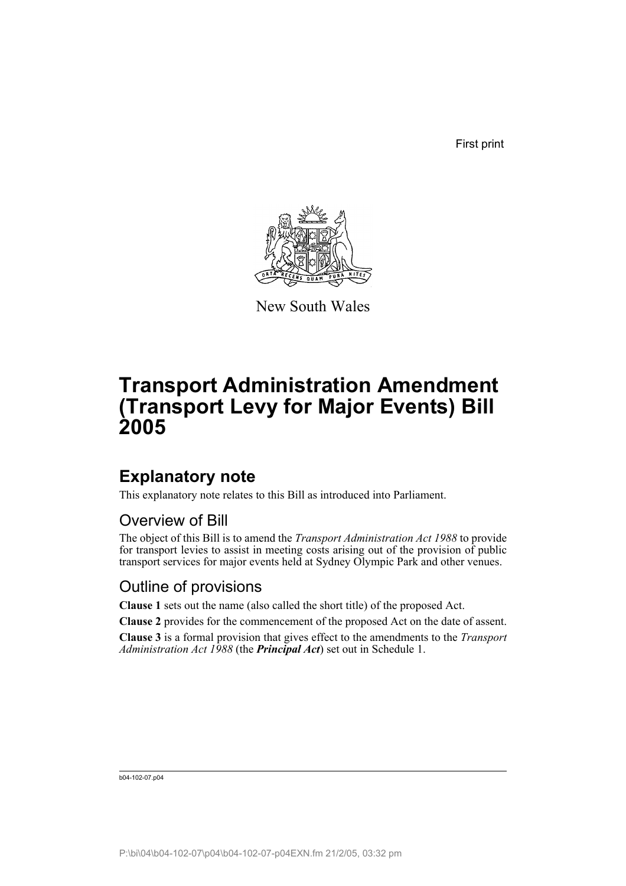First print



New South Wales

# **Transport Administration Amendment (Transport Levy for Major Events) Bill 2005**

# **Explanatory note**

This explanatory note relates to this Bill as introduced into Parliament.

### Overview of Bill

The object of this Bill is to amend the *Transport Administration Act 1988* to provide for transport levies to assist in meeting costs arising out of the provision of public transport services for major events held at Sydney Olympic Park and other venues.

### Outline of provisions

**Clause 1** sets out the name (also called the short title) of the proposed Act.

**Clause 2** provides for the commencement of the proposed Act on the date of assent.

**Clause 3** is a formal provision that gives effect to the amendments to the *Transport Administration Act 1988* (the *Principal Act*) set out in Schedule 1.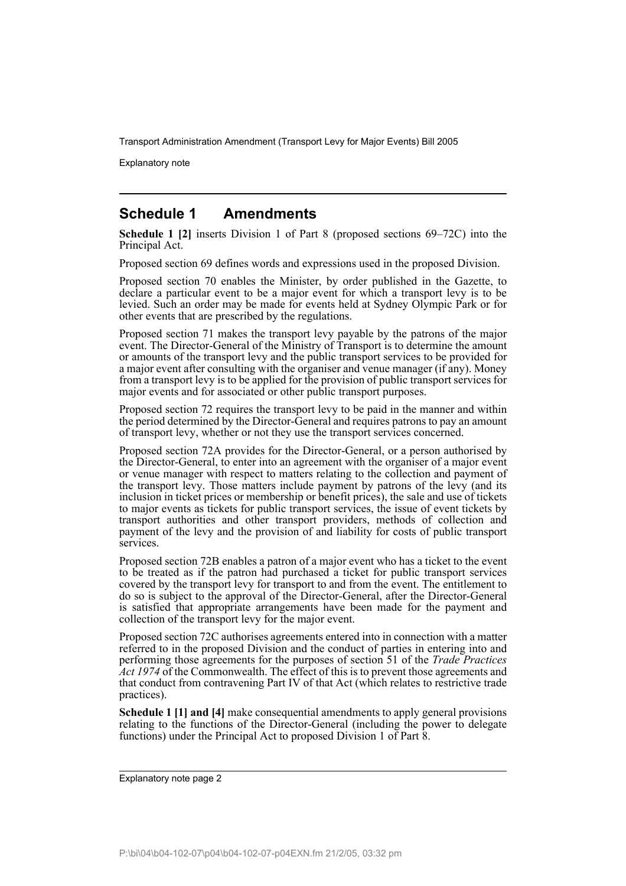Explanatory note

### **Schedule 1 Amendments**

**Schedule 1 [2]** inserts Division 1 of Part 8 (proposed sections 69–72C) into the Principal Act.

Proposed section 69 defines words and expressions used in the proposed Division.

Proposed section 70 enables the Minister, by order published in the Gazette, to declare a particular event to be a major event for which a transport levy is to be levied. Such an order may be made for events held at Sydney Olympic Park or for other events that are prescribed by the regulations.

Proposed section 71 makes the transport levy payable by the patrons of the major event. The Director-General of the Ministry of Transport is to determine the amount or amounts of the transport levy and the public transport services to be provided for a major event after consulting with the organiser and venue manager (if any). Money from a transport levy is to be applied for the provision of public transport services for major events and for associated or other public transport purposes.

Proposed section 72 requires the transport levy to be paid in the manner and within the period determined by the Director-General and requires patrons to pay an amount of transport levy, whether or not they use the transport services concerned.

Proposed section 72A provides for the Director-General, or a person authorised by the Director-General, to enter into an agreement with the organiser of a major event or venue manager with respect to matters relating to the collection and payment of the transport levy. Those matters include payment by patrons of the levy (and its inclusion in ticket prices or membership or benefit prices), the sale and use of tickets to major events as tickets for public transport services, the issue of event tickets by transport authorities and other transport providers, methods of collection and payment of the levy and the provision of and liability for costs of public transport services.

Proposed section 72B enables a patron of a major event who has a ticket to the event to be treated as if the patron had purchased a ticket for public transport services covered by the transport levy for transport to and from the event. The entitlement to do so is subject to the approval of the Director-General, after the Director-General is satisfied that appropriate arrangements have been made for the payment and collection of the transport levy for the major event.

Proposed section 72C authorises agreements entered into in connection with a matter referred to in the proposed Division and the conduct of parties in entering into and performing those agreements for the purposes of section 51 of the *Trade Practices Act 1974* of the Commonwealth. The effect of this is to prevent those agreements and that conduct from contravening Part IV of that Act (which relates to restrictive trade practices).

**Schedule 1 [1] and [4]** make consequential amendments to apply general provisions relating to the functions of the Director-General (including the power to delegate functions) under the Principal Act to proposed Division 1 of Part 8.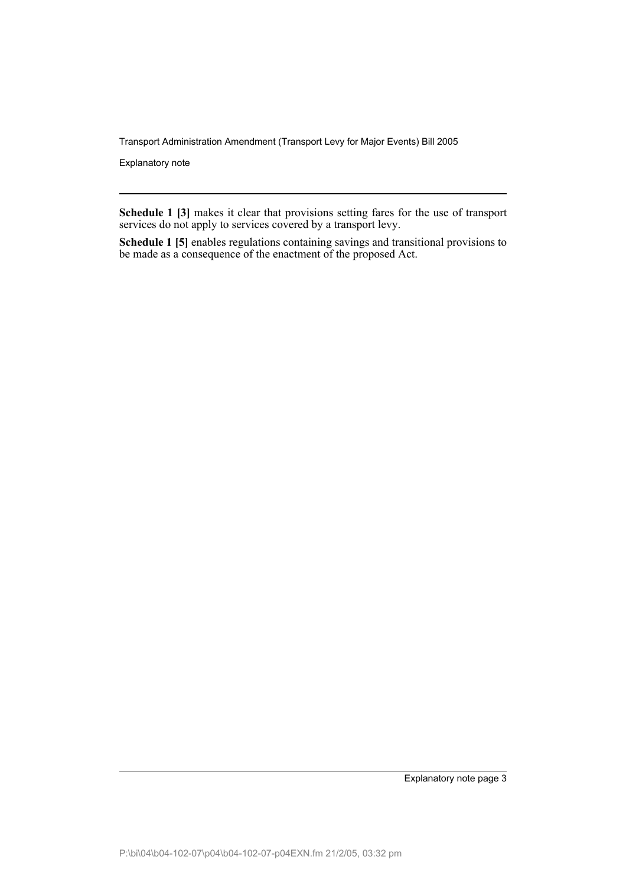Explanatory note

**Schedule 1 [3]** makes it clear that provisions setting fares for the use of transport services do not apply to services covered by a transport levy.

**Schedule 1 [5]** enables regulations containing savings and transitional provisions to be made as a consequence of the enactment of the proposed Act.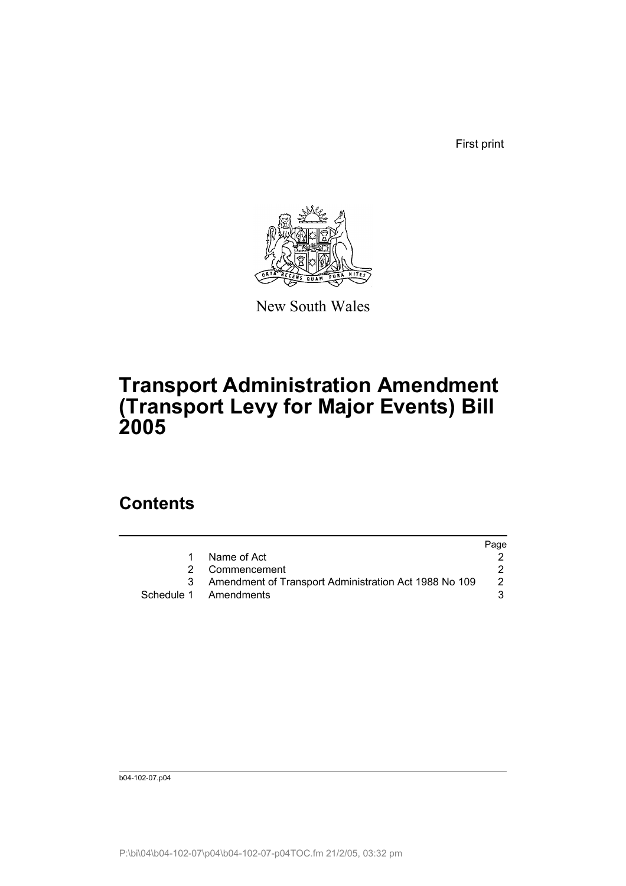First print



New South Wales

# **Transport Administration Amendment (Transport Levy for Major Events) Bill 2005**

# **Contents**

|                                                       | Page |
|-------------------------------------------------------|------|
| Name of Act                                           |      |
| 2 Commencement                                        |      |
| Amendment of Transport Administration Act 1988 No 109 |      |
| Schedule 1 Amendments                                 |      |
|                                                       |      |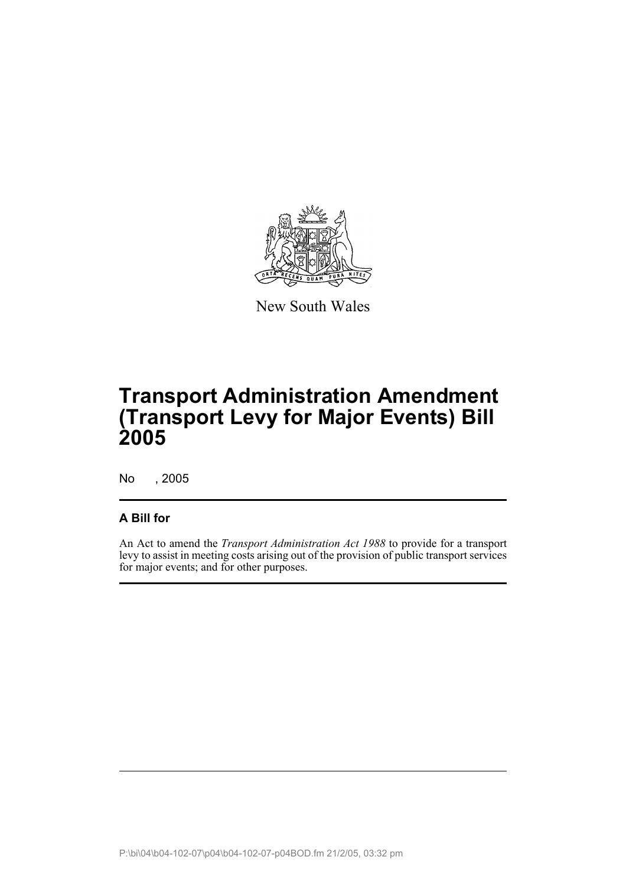

New South Wales

# **Transport Administration Amendment (Transport Levy for Major Events) Bill 2005**

No , 2005

#### **A Bill for**

An Act to amend the *Transport Administration Act 1988* to provide for a transport levy to assist in meeting costs arising out of the provision of public transport services for major events; and for other purposes.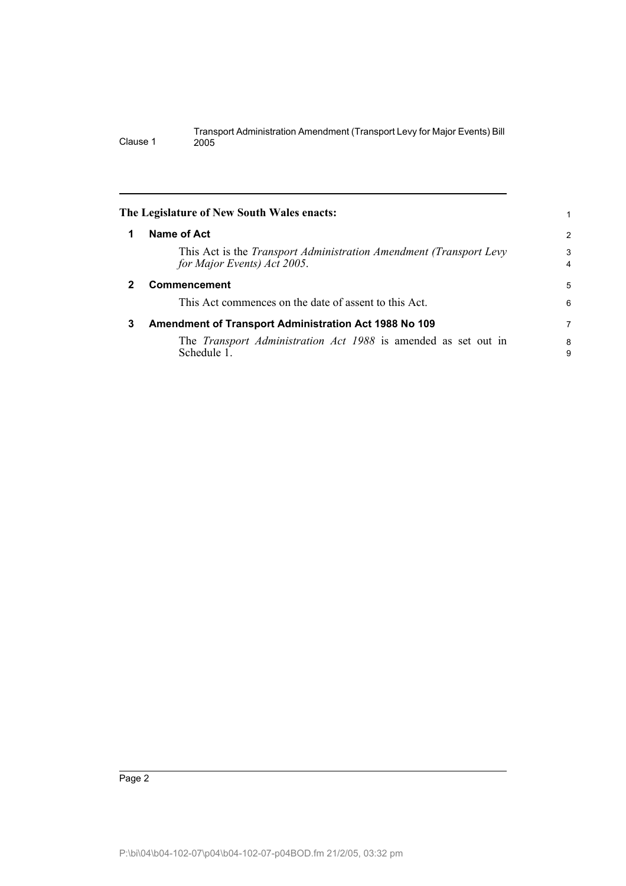|   | The Legislature of New South Wales enacts:                                                               | 1                   |
|---|----------------------------------------------------------------------------------------------------------|---------------------|
|   | Name of Act                                                                                              | $\overline{2}$      |
|   | This Act is the <i>Transport Administration Amendment (Transport Levy</i><br>for Major Events) Act 2005. | 3<br>$\overline{4}$ |
| 2 | Commencement                                                                                             | 5                   |
|   | This Act commences on the date of assent to this Act.                                                    | 6                   |
| 3 | Amendment of Transport Administration Act 1988 No 109                                                    | 7                   |
|   | The <i>Transport Administration Act 1988</i> is amended as set out in<br>Schedule 1.                     | 8<br>9              |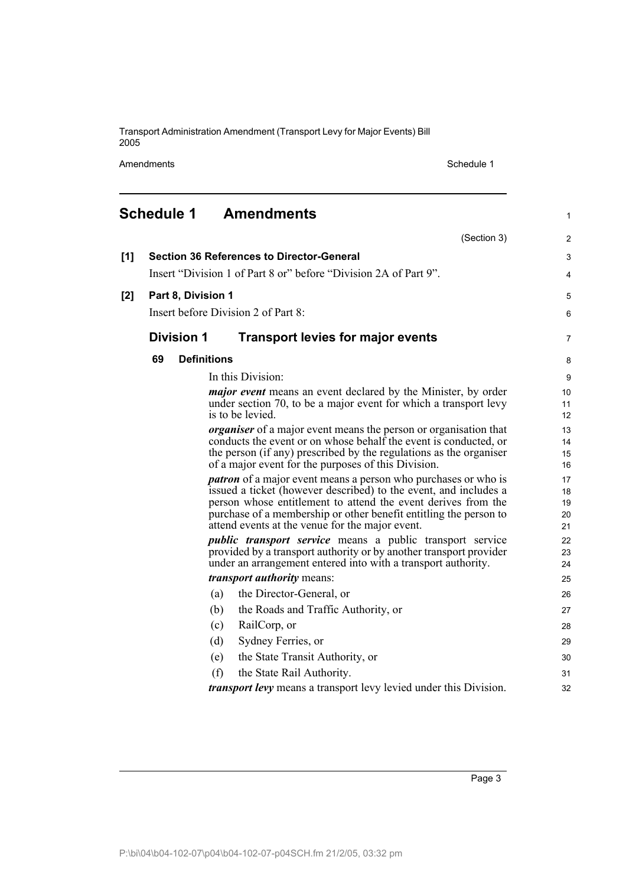Amendments Schedule 1

|       | <b>Schedule 1</b>  | <b>Amendments</b>                                                                                                                         | 1              |
|-------|--------------------|-------------------------------------------------------------------------------------------------------------------------------------------|----------------|
|       |                    | (Section 3)                                                                                                                               | $\overline{2}$ |
| [1]   |                    | <b>Section 36 References to Director-General</b>                                                                                          | 3              |
|       |                    | Insert "Division 1 of Part 8 or" before "Division 2A of Part 9".                                                                          | 4              |
| $[2]$ | Part 8, Division 1 |                                                                                                                                           | 5              |
|       |                    | Insert before Division 2 of Part 8:                                                                                                       | 6              |
|       | <b>Division 1</b>  | <b>Transport levies for major events</b>                                                                                                  | 7              |
|       | 69                 | <b>Definitions</b>                                                                                                                        | 8              |
|       |                    | In this Division:                                                                                                                         | 9              |
|       |                    | <i>major event</i> means an event declared by the Minister, by order                                                                      | 10             |
|       |                    | under section 70, to be a major event for which a transport levy<br>is to be levied.                                                      | 11<br>12       |
|       |                    | <i>organiser</i> of a major event means the person or organisation that                                                                   | 13             |
|       |                    | conducts the event or on whose behalf the event is conducted, or                                                                          | 14             |
|       |                    | the person (if any) prescribed by the regulations as the organiser                                                                        | 15             |
|       |                    | of a major event for the purposes of this Division.                                                                                       | 16             |
|       |                    | <i>patron</i> of a major event means a person who purchases or who is<br>issued a ticket (however described) to the event, and includes a | 17<br>18       |
|       |                    | person whose entitlement to attend the event derives from the                                                                             | 19             |
|       |                    | purchase of a membership or other benefit entitling the person to                                                                         | 20             |
|       |                    | attend events at the venue for the major event.                                                                                           | 21             |
|       |                    | <i>public transport service</i> means a public transport service<br>provided by a transport authority or by another transport provider    | 22<br>23       |
|       |                    | under an arrangement entered into with a transport authority.                                                                             | 24             |
|       |                    | <i>transport authority</i> means:                                                                                                         | 25             |
|       |                    | the Director-General, or<br>(a)                                                                                                           | 26             |
|       |                    | the Roads and Traffic Authority, or<br>(b)                                                                                                | 27             |
|       |                    | RailCorp, or<br>(c)                                                                                                                       | 28             |
|       |                    | (d)<br>Sydney Ferries, or                                                                                                                 | 29             |
|       |                    | the State Transit Authority, or<br>(e)                                                                                                    | 30             |
|       |                    | (f)<br>the State Rail Authority.                                                                                                          | 31             |
|       |                    | <i>transport levy</i> means a transport levy levied under this Division.                                                                  | 32             |
|       |                    |                                                                                                                                           |                |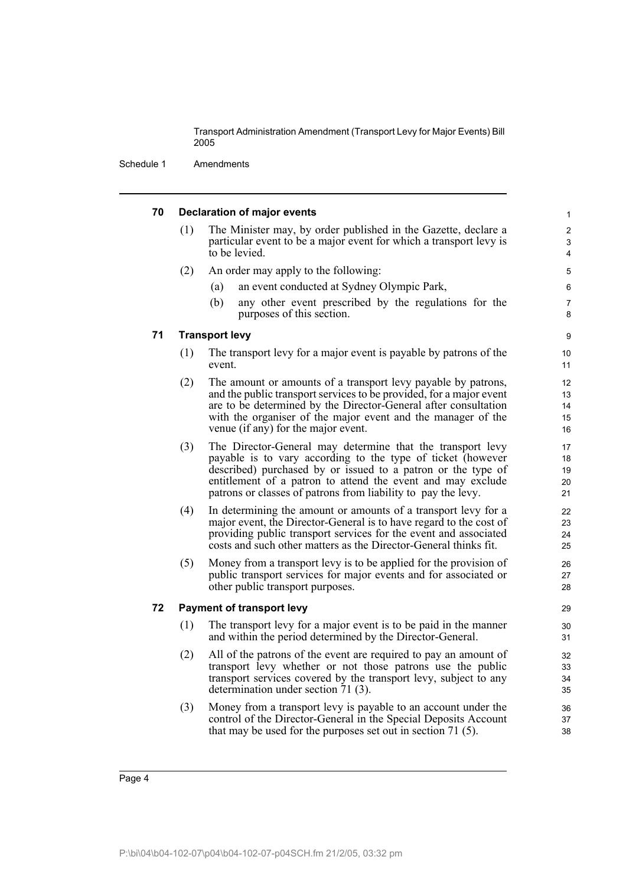Schedule 1 Amendments

| 70 |                                  | <b>Declaration of major events</b>                                                                                                                    | $\mathbf{1}$ |  |
|----|----------------------------------|-------------------------------------------------------------------------------------------------------------------------------------------------------|--------------|--|
|    | (1)                              | The Minister may, by order published in the Gazette, declare a<br>particular event to be a major event for which a transport levy is<br>to be levied. | 2<br>3<br>4  |  |
|    | (2)                              | An order may apply to the following:                                                                                                                  | 5            |  |
|    |                                  | an event conducted at Sydney Olympic Park,<br>(a)                                                                                                     | 6            |  |
|    |                                  | (b)<br>any other event prescribed by the regulations for the<br>purposes of this section.                                                             | 7<br>8       |  |
| 71 | <b>Transport levy</b>            |                                                                                                                                                       |              |  |
|    | (1)                              | The transport levy for a major event is payable by patrons of the<br>event.                                                                           | 10<br>11     |  |
|    | (2)                              | The amount or amounts of a transport levy payable by patrons,                                                                                         | 12           |  |
|    |                                  | and the public transport services to be provided, for a major event                                                                                   | 13           |  |
|    |                                  | are to be determined by the Director-General after consultation<br>with the organiser of the major event and the manager of the                       | 14<br>15     |  |
|    |                                  | venue (if any) for the major event.                                                                                                                   | 16           |  |
|    | (3)                              | The Director-General may determine that the transport levy                                                                                            | 17           |  |
|    |                                  | payable is to vary according to the type of ticket (however                                                                                           | 18           |  |
|    |                                  | described) purchased by or issued to a patron or the type of<br>entitlement of a patron to attend the event and may exclude                           | 19           |  |
|    |                                  | patrons or classes of patrons from liability to pay the levy.                                                                                         | 20<br>21     |  |
|    | (4)                              | In determining the amount or amounts of a transport levy for a                                                                                        | 22           |  |
|    |                                  | major event, the Director-General is to have regard to the cost of                                                                                    | 23           |  |
|    |                                  | providing public transport services for the event and associated<br>costs and such other matters as the Director-General thinks fit.                  | 24<br>25     |  |
|    | (5)                              | Money from a transport levy is to be applied for the provision of                                                                                     | 26           |  |
|    |                                  | public transport services for major events and for associated or                                                                                      | 27           |  |
|    |                                  | other public transport purposes.                                                                                                                      | 28           |  |
| 72 | <b>Payment of transport levy</b> |                                                                                                                                                       | 29           |  |
|    | (1)                              | The transport levy for a major event is to be paid in the manner<br>and within the period determined by the Director-General.                         | 30<br>31     |  |
|    | (2)                              | All of the patrons of the event are required to pay an amount of                                                                                      | 32           |  |
|    |                                  | transport levy whether or not those patrons use the public                                                                                            | 33           |  |
|    |                                  | transport services covered by the transport levy, subject to any<br>determination under section 71 (3).                                               | 34<br>35     |  |
|    | (3)                              | Money from a transport levy is payable to an account under the                                                                                        | 36           |  |
|    |                                  | control of the Director-General in the Special Deposits Account                                                                                       | 37           |  |
|    |                                  | that may be used for the purposes set out in section 71 $(5)$ .                                                                                       | 38           |  |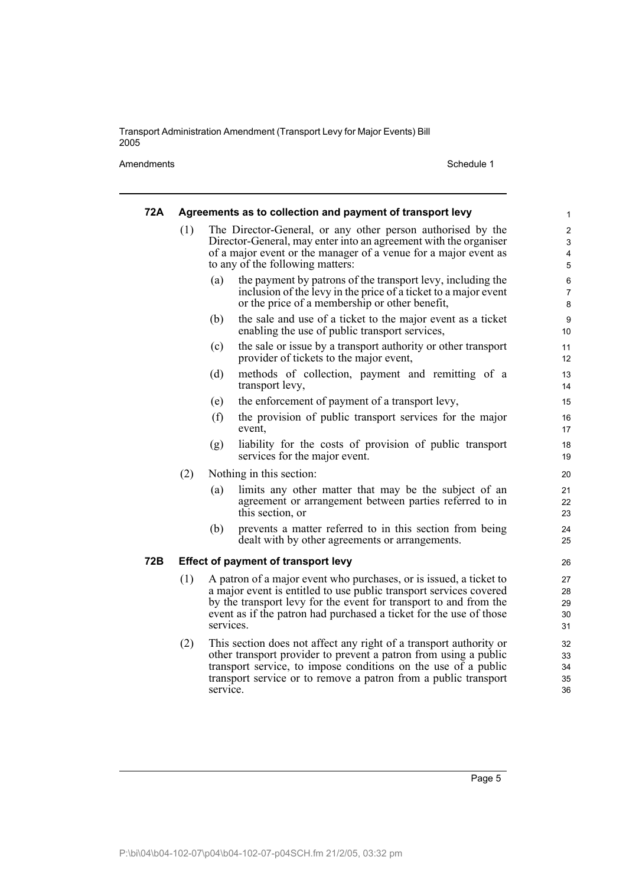Amendments Schedule 1

| 72A |                                            |           | Agreements as to collection and payment of transport levy                                                                                                                                                                                                                           | 1                             |
|-----|--------------------------------------------|-----------|-------------------------------------------------------------------------------------------------------------------------------------------------------------------------------------------------------------------------------------------------------------------------------------|-------------------------------|
|     | (1)                                        |           | The Director-General, or any other person authorised by the<br>Director-General, may enter into an agreement with the organiser<br>of a major event or the manager of a venue for a major event as<br>to any of the following matters:                                              | $\overline{c}$<br>3<br>4<br>5 |
|     |                                            | (a)       | the payment by patrons of the transport levy, including the<br>inclusion of the levy in the price of a ticket to a major event<br>or the price of a membership or other benefit,                                                                                                    | 6<br>7<br>8                   |
|     |                                            | (b)       | the sale and use of a ticket to the major event as a ticket<br>enabling the use of public transport services,                                                                                                                                                                       | 9<br>10                       |
|     |                                            | (c)       | the sale or issue by a transport authority or other transport<br>provider of tickets to the major event,                                                                                                                                                                            | 11<br>12                      |
|     |                                            | (d)       | methods of collection, payment and remitting of a<br>transport levy,                                                                                                                                                                                                                | 13<br>14                      |
|     |                                            | (e)       | the enforcement of payment of a transport levy,                                                                                                                                                                                                                                     | 15                            |
|     |                                            | (f)       | the provision of public transport services for the major<br>event,                                                                                                                                                                                                                  | 16<br>17                      |
|     |                                            | (g)       | liability for the costs of provision of public transport<br>services for the major event.                                                                                                                                                                                           | 18<br>19                      |
|     | (2)                                        |           | Nothing in this section:                                                                                                                                                                                                                                                            | 20                            |
|     |                                            | (a)       | limits any other matter that may be the subject of an<br>agreement or arrangement between parties referred to in<br>this section, or                                                                                                                                                | 21<br>22<br>23                |
|     |                                            | (b)       | prevents a matter referred to in this section from being<br>dealt with by other agreements or arrangements.                                                                                                                                                                         | 24<br>25                      |
| 72B | <b>Effect of payment of transport levy</b> |           |                                                                                                                                                                                                                                                                                     | 26                            |
|     | (1)                                        | services. | A patron of a major event who purchases, or is issued, a ticket to<br>a major event is entitled to use public transport services covered<br>by the transport levy for the event for transport to and from the<br>event as if the patron had purchased a ticket for the use of those | 27<br>28<br>29<br>30<br>31    |
|     | (2)                                        | service.  | This section does not affect any right of a transport authority or<br>other transport provider to prevent a patron from using a public<br>transport service, to impose conditions on the use of a public<br>transport service or to remove a patron from a public transport         | 32<br>33<br>34<br>35<br>36    |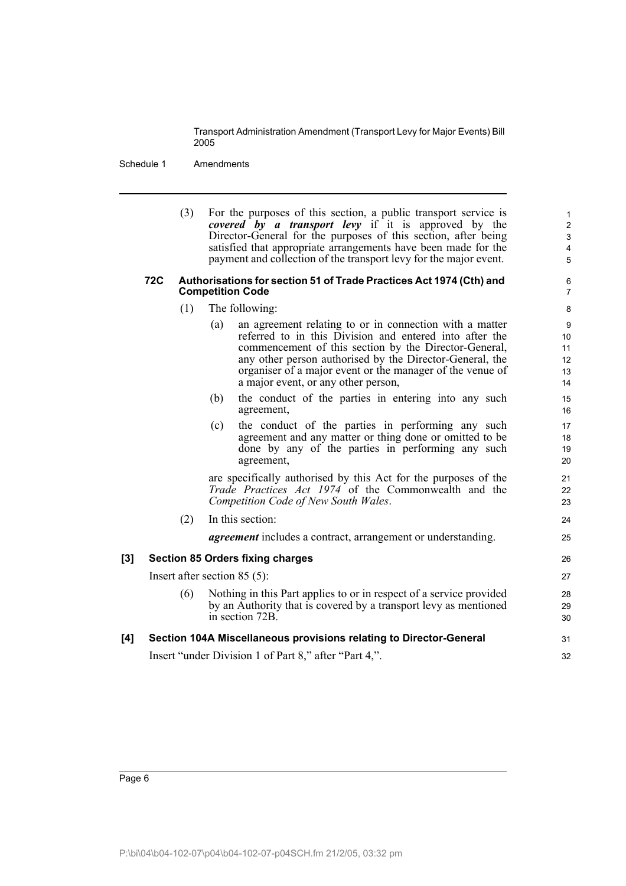Schedule 1 Amendments

(3) For the purposes of this section, a public transport service is *covered by a transport levy* if it is approved by the Director-General for the purposes of this section, after being satisfied that appropriate arrangements have been made for the payment and collection of the transport levy for the major event.

#### **72C Authorisations for section 51 of Trade Practices Act 1974 (Cth) and Competition Code**

- (1) The following:
	- (a) an agreement relating to or in connection with a matter referred to in this Division and entered into after the commencement of this section by the Director-General, any other person authorised by the Director-General, the organiser of a major event or the manager of the venue of a major event, or any other person,
	- (b) the conduct of the parties in entering into any such agreement,
	- (c) the conduct of the parties in performing any such agreement and any matter or thing done or omitted to be done by any of the parties in performing any such agreement,

are specifically authorised by this Act for the purposes of the *Trade Practices Act 1974* of the Commonwealth and the *Competition Code of New South Wales*.

#### (2) In this section:

*agreement* includes a contract, arrangement or understanding.

### **[3] Section 85 Orders fixing charges** Insert after section 85 (5): (6) Nothing in this Part applies to or in respect of a service provided by an Authority that is covered by a transport levy as mentioned in section 72B.

#### **[4] Section 104A Miscellaneous provisions relating to Director-General** Insert "under Division 1 of Part 8," after "Part 4,". 31 32